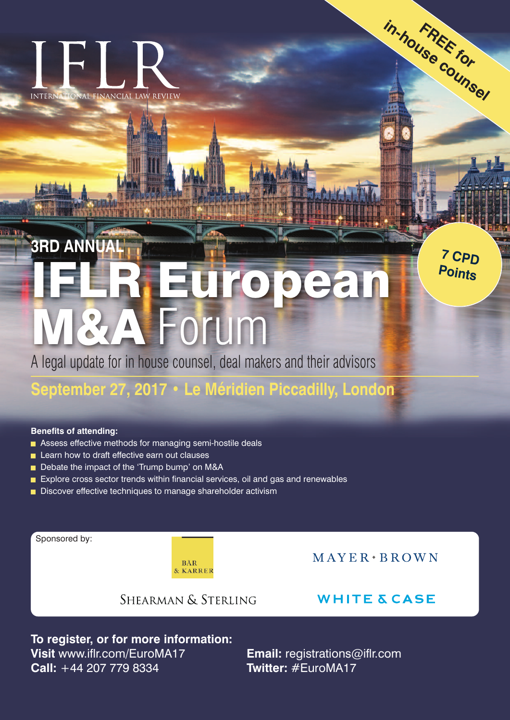# INTERNATIONAL FINANCIAL LAW REVIEW

**INTERNATIONAL** 

**IFLR European M&A** Forum **3RD ANNUAL**

A legal update for in house counsel, deal makers and their advisors

## **September 27, 2017 • Le Méridien Piccadilly, London**

#### **Benefits of attending:**

- Assess effective methods for managing semi-hostile deals
- Learn how to draft effective earn out clauses
- Debate the impact of the 'Trump bump' on M&A
- Explore cross sector trends within financial services, oil and gas and renewables
- Discover effective techniques to manage shareholder activism

Sponsored by:

**BÄR** & KARRER  $MAYER*BROMN$ 

**FREE for in-house counsel**

**<sup>7</sup> CPD Points**

### SHEARMAN & STERLING

**WHITE & CASE** 

**To register, or for more information: Visit** www.iflr.com/EuroMA17 **Email:** registrations@iflr.com **Call:** +44 207 779 8334 **Twitter:** #EuroMA17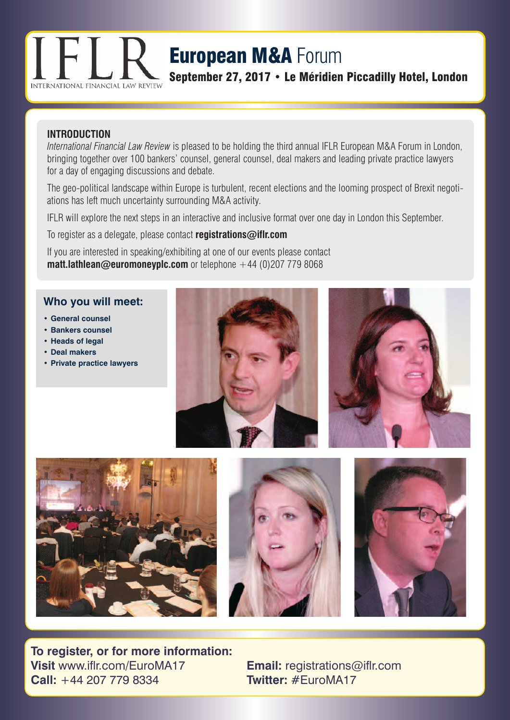

## **European M&A** Forum

**September 27, 2017 • Le Méridien Piccadilly Hotel, London**

#### **INTRODUCTION**

*International Financial Law Review* is pleased to be holding the third annual IFLR European M&A Forum in London, bringing together over 100 bankers' counsel, general counsel, deal makers and leading private practice lawyers for a day of engaging discussions and debate.

The geo-political landscape within Europe is turbulent, recent elections and the looming prospect of Brexit negotiations has left much uncertainty surrounding M&A activity.

IFLR will explore the next steps in an interactive and inclusive format over one day in London this September.

To register as a delegate, please contact **registrations@iflr.com**

If you are interested in speaking/exhibiting at one of our events please contact **matt.lathlean@euromoneyplc.com** or telephone +44 (0)207 779 8068

#### **Who you will meet:**

- **• General counsel**
- **• Bankers counsel**
- **• Heads of legal**
- **• Deal makers**
- **• Private practice lawyers**











**To register, or for more information: Visit** www.iflr.com/EuroMA17 **Email:** registrations@iflr.com **Call:** +44 207 779 8334 **Twitter:** #EuroMA17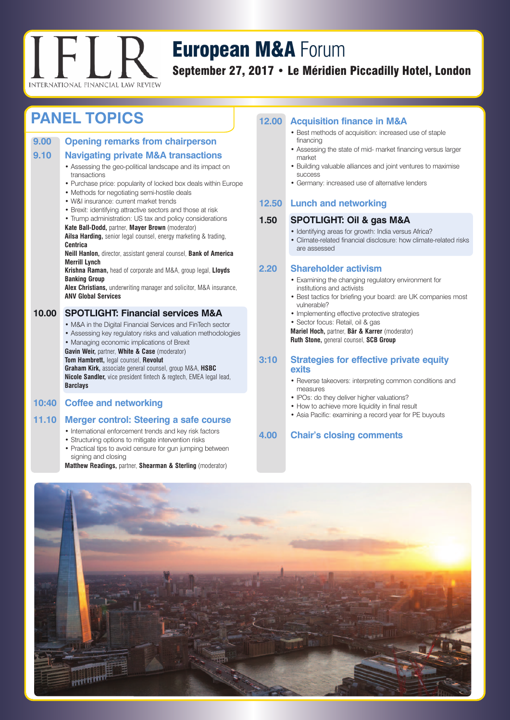

## **European M&A** Forum

**September 27, 2017 • Le Méridien Piccadilly Hotel, London**

## **PANEL TOPICS 12.00 Acquisition finance in M&A**

| 9.00  | <b>Opening remarks from chairperson</b>                                                                        |
|-------|----------------------------------------------------------------------------------------------------------------|
| 9.10  | <b>Navigating private M&amp;A transactions</b>                                                                 |
|       | • Assessing the geo-political landscape and its impact on<br>transactions                                      |
|       | • Purchase price: popularity of locked box deals within Europe<br>• Methods for negotiating semi-hostile deals |
|       | • W&I insurance: current market trends                                                                         |
|       | • Brexit: identifying attractive sectors and those at risk                                                     |
|       | • Trump administration: US tax and policy considerations                                                       |
|       | Kate Ball-Dodd, partner, Mayer Brown (moderator)                                                               |
|       | Ailsa Harding, senior legal counsel, energy marketing & trading,<br><b>Centrica</b>                            |
|       | <b>Neill Hanlon, director, assistant general counsel, Bank of America</b><br><b>Merrill Lynch</b>              |
|       | Krishna Raman, head of corporate and M&A, group legal, Lloyds<br><b>Banking Group</b>                          |
|       | <b>Alex Christians, underwriting manager and solicitor, M&amp;A insurance,</b><br><b>ANV Global Services</b>   |
| 10.00 | <b>SPOTLIGHT: Financial services M&amp;A</b>                                                                   |
|       | • M&A in the Digital Financial Services and FinTech sector                                                     |
|       | • Assessing key regulatory risks and valuation methodologies                                                   |
|       | • Managing economic implications of Brexit                                                                     |
|       | Gavin Weir, partner, White & Case (moderator)                                                                  |
|       | Tom Hambrett, legal counsel, Revolut                                                                           |
|       | Graham Kirk, associate general counsel, group M&A, HSBC                                                        |
|       | <b>Nicole Sandler,</b> vice president fintech & regtech, EMEA legal lead,                                      |

#### **10:40 Coffee and networking**

**Barclays**

#### **11.10 Merger control: Steering a safe course**

- International enforcement trends and key risk factors
- Structuring options to mitigate intervention risks
- Practical tips to avoid censure for gun jumping between signing and closing

**Matthew Readings,** partner, **Shearman & Sterling** (moderator)

- Best methods of acquisition: increased use of staple financing
- Assessing the state of mid- market financing versus larger market
- Building valuable alliances and joint ventures to maximise success
- Germany: increased use of alternative lenders

#### **12.50 Lunch and networking**

#### **1.50 SPOTLIGHT: Oil & gas M&A**

- Identifying areas for growth: India versus Africa?
- Climate-related financial disclosure: how climate-related risks are assessed

#### **2.20 Shareholder activism**

- Examining the changing regulatory environment for institutions and activists
- Best tactics for briefing your board: are UK companies most vulnerable?
- Implementing effective protective strategies
- Sector focus: Retail, oil & gas

**Mariel Hoch,** partner, **Bär & Karrer** (moderator) **Ruth Stone,** general counsel, **SCB Group**

#### **3:10 Strategies for effective private equity exits**

- Reverse takeovers: interpreting common conditions and measures
- IPOs: do they deliver higher valuations?
- How to achieve more liquidity in final result
- Asia Pacific: examining a record year for PE buyouts

#### **4.00 Chair's closing comments**